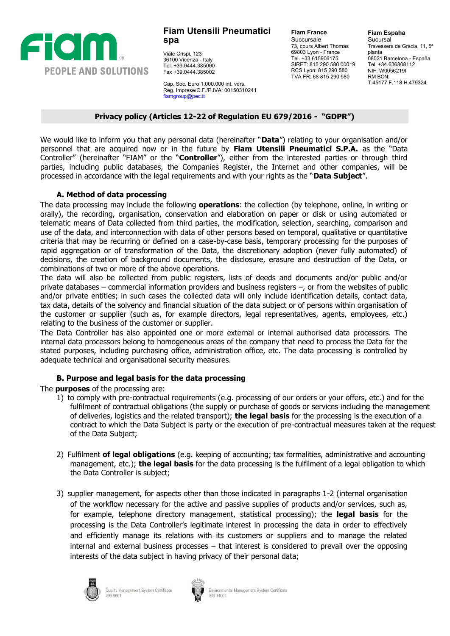

Viale Crispi, 123 36100 Vicenza - Italy Tel. +39.0444.385000 Fax +39.0444.385002

Cap. Soc. Euro 1.000.000 int. vers. Reg. Imprese/C.F./P.IVA: 00150310241 [fiamgroup@pec.it](mailto:fiamgroup@pec.it)

**Fiam France** Succursale 73, cours Albert Thomas 69803 Lyon - France Tel. +33.615906175 SIRET: 815 290 580 00019 RCS Lyon: 815 290 580 TVA FR: 68 815 290 580

**Fiam Espaha Sucursal** Travessera de Gràcia, 11, 5ª planta 08021 Barcelona - España Tel. +34.636808112 NIF: W0056219I RM BCN: T.45177 F.118 H.479324

#### **Privacy policy (Articles 12-22 of Regulation EU 679/2016 - "GDPR")**

We would like to inform you that any personal data (hereinafter "**Data**") relating to your organisation and/or personnel that are acquired now or in the future by **Fiam Utensili Pneumatici S.P.A.** as the "Data Controller" (hereinafter "FIAM" or the "**Controller**"), either from the interested parties or through third parties, including public databases, the Companies Register, the Internet and other companies, will be processed in accordance with the legal requirements and with your rights as the "**Data Subject**".

### **A. Method of data processing**

The data processing may include the following **operations**: the collection (by telephone, online, in writing or orally), the recording, organisation, conservation and elaboration on paper or disk or using automated or telematic means of Data collected from third parties, the modification, selection, searching, comparison and use of the data, and interconnection with data of other persons based on temporal, qualitative or quantitative criteria that may be recurring or defined on a case-by-case basis, temporary processing for the purposes of rapid aggregation or of transformation of the Data, the discretionary adoption (never fully automated) of decisions, the creation of background documents, the disclosure, erasure and destruction of the Data, or combinations of two or more of the above operations.

The data will also be collected from public registers, lists of deeds and documents and/or public and/or private databases – commercial information providers and business registers –, or from the websites of public and/or private entities; in such cases the collected data will only include identification details, contact data, tax data, details of the solvency and financial situation of the data subject or of persons within organisation of the customer or supplier (such as, for example directors, legal representatives, agents, employees, etc.) relating to the business of the customer or supplier.

The Data Controller has also appointed one or more external or internal authorised data processors. The internal data processors belong to homogeneous areas of the company that need to process the Data for the stated purposes, including purchasing office, administration office, etc. The data processing is controlled by adequate technical and organisational security measures.

# **B. Purpose and legal basis for the data processing**

The **purposes** of the processing are:

- 1) to comply with pre-contractual requirements (e.g. processing of our orders or your offers, etc.) and for the fulfilment of contractual obligations (the supply or purchase of goods or services including the management of deliveries, logistics and the related transport); **the legal basis** for the processing is the execution of a contract to which the Data Subject is party or the execution of pre-contractual measures taken at the request of the Data Subject;
- 2) Fulfilment **of legal obligations** (e.g. keeping of accounting; tax formalities, administrative and accounting management, etc.); **the legal basis** for the data processing is the fulfilment of a legal obligation to which the Data Controller is subject;
- 3) supplier management, for aspects other than those indicated in paragraphs 1-2 (internal organisation of the workflow necessary for the active and passive supplies of products and/or services, such as, for example, telephone directory management, statistical processing); the **legal basis** for the processing is the Data Controller's legitimate interest in processing the data in order to effectively and efficiently manage its relations with its customers or suppliers and to manage the related internal and external business processes – that interest is considered to prevail over the opposing interests of the data subject in having privacy of their personal data;



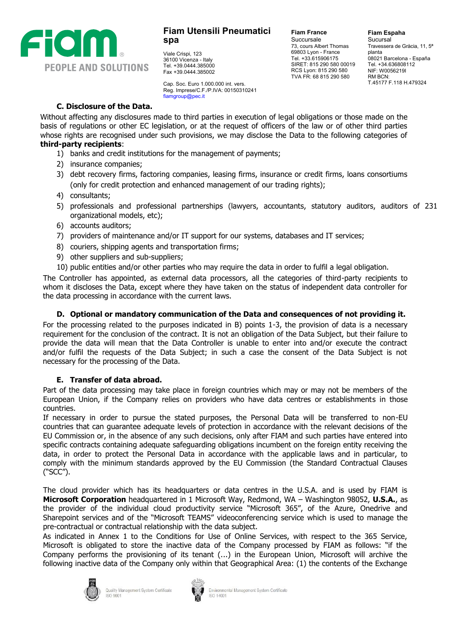

Viale Crispi, 123 36100 Vicenza - Italy Tel. +39.0444.385000 Fax +39.0444.385002

Cap. Soc. Euro 1.000.000 int. vers. Reg. Imprese/C.F./P.IVA: 00150310241 [fiamgroup@pec.it](mailto:fiamgroup@pec.it)

**Fiam France** Succursale 73, cours Albert Thomas 69803 Lyon - France Tel. +33.615906175 SIRET: 815 290 580 00019 RCS Lyon: 815 290 580 TVA FR: 68 815 290 580

**Fiam Espaha Sucursal** Travessera de Gràcia, 11, 5ª planta 08021 Barcelona - España Tel. +34.636808112 NIF: W0056219I RM BCN: T.45177 F.118 H.479324

# **C. Disclosure of the Data.**

Without affecting any disclosures made to third parties in execution of legal obligations or those made on the basis of regulations or other EC legislation, or at the request of officers of the law or of other third parties whose rights are recognised under such provisions, we may disclose the Data to the following categories of **third-party recipients**:

- 1) banks and credit institutions for the management of payments;
- 2) insurance companies;
- 3) debt recovery firms, factoring companies, leasing firms, insurance or credit firms, loans consortiums (only for credit protection and enhanced management of our trading rights);
- 4) consultants;
- 5) professionals and professional partnerships (lawyers, accountants, statutory auditors, auditors of 231 organizational models, etc);
- 6) accounts auditors;
- 7) providers of maintenance and/or IT support for our systems, databases and IT services;
- 8) couriers, shipping agents and transportation firms;
- 9) other suppliers and sub-suppliers;
- 10) public entities and/or other parties who may require the data in order to fulfil a legal obligation.

The Controller has appointed, as external data processors, all the categories of third-party recipients to whom it discloses the Data, except where they have taken on the status of independent data controller for the data processing in accordance with the current laws.

#### **D. Optional or mandatory communication of the Data and consequences of not providing it.**

For the processing related to the purposes indicated in B) points 1-3, the provision of data is a necessary requirement for the conclusion of the contract. It is not an obligation of the Data Subject, but their failure to provide the data will mean that the Data Controller is unable to enter into and/or execute the contract and/or fulfil the requests of the Data Subject; in such a case the consent of the Data Subject is not necessary for the processing of the Data.

#### **E. Transfer of data abroad.**

Part of the data processing may take place in foreign countries which may or may not be members of the European Union, if the Company relies on providers who have data centres or establishments in those countries.

If necessary in order to pursue the stated purposes, the Personal Data will be transferred to non-EU countries that can guarantee adequate levels of protection in accordance with the relevant decisions of the EU Commission or, in the absence of any such decisions, only after FIAM and such parties have entered into specific contracts containing adequate safeguarding obligations incumbent on the foreign entity receiving the data, in order to protect the Personal Data in accordance with the applicable laws and in particular, to comply with the minimum standards approved by the EU Commission (the Standard Contractual Clauses ("SCC").

The cloud provider which has its headquarters or data centres in the U.S.A. and is used by FIAM is **Microsoft Corporation** headquartered in 1 Microsoft Way, Redmond, WA – Washington 98052, **U.S.A.**, as the provider of the individual cloud productivity service "Microsoft 365", of the Azure, Onedrive and Sharepoint services and of the "Microsoft TEAMS" videoconferencing service which is used to manage the pre-contractual or contractual relationship with the data subject.

As indicated in Annex 1 to the Conditions for Use of Online Services, with respect to the 365 Service, Microsoft is obligated to store the inactive data of the Company processed by FIAM as follows: "if the Company performs the provisioning of its tenant (...) in the European Union, Microsoft will archive the following inactive data of the Company only within that Geographical Area: (1) the contents of the Exchange



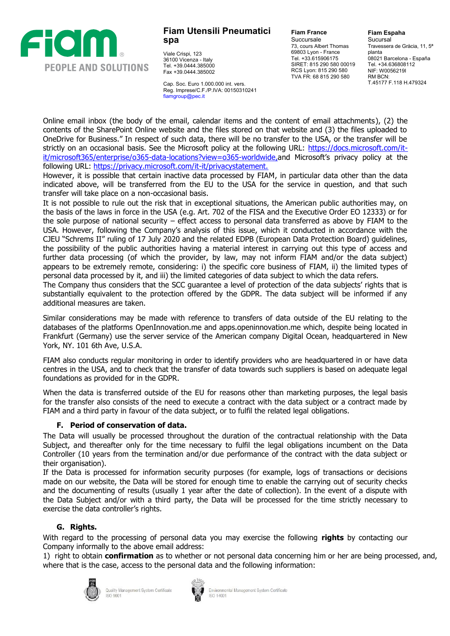

Viale Crispi, 123 36100 Vicenza - Italy Tel. +39.0444.385000 Fax +39.0444.385002

Cap. Soc. Euro 1.000.000 int. vers. Reg. Imprese/C.F./P.IVA: 00150310241 [fiamgroup@pec.it](mailto:fiamgroup@pec.it)

**Fiam France** Succursale 73, cours Albert Thomas 69803 Lyon - France Tel. +33.615906175 SIRET: 815 290 580 00019 RCS Lyon: 815 290 580 TVA FR: 68 815 290 580

**Fiam Espaha Sucursal** Travessera de Gràcia, 11, 5ª planta 08021 Barcelona - España Tel. +34.636808112 NIF: W0056219I RM BCN: T.45177 F.118 H.479324

Online email inbox (the body of the email, calendar items and the content of email attachments), (2) the contents of the SharePoint Online website and the files stored on that website and (3) the files [uploaded](https://docs.microsoft.com/it-it/microsoft-365/enterprise/o365-data-locations?view=o365-worldwide,) to OneDrive for [Business."](https://docs.microsoft.com/it-it/microsoft-365/enterprise/o365-data-locations?view=o365-worldwide,) In respect of such data, there will be no transfer to the USA, or the transfer will be strictly on an occasional basis. See the Microsoft policy at the following URL: https://docs.microsoft.com/it-it/microsoft36[5/enterprise/o365-data-locations?view=o365-worldwid](https://privacy.microsoft.com/it-it/privacystatement.)e, and Microsoft's privacy policy at the following URL: https://privacy.microsoft.com/it-it/privacystatement.

However, it is possible that certain inactive data processed by FIAM, in particular data other than the data indicated above, will be transferred from the EU to the USA for the service in question, and that such transfer will take place on a non-occasional basis.

It is not possible to rule out the risk that in exceptional situations, the American public authorities may, on the basis of the laws in force in the USA (e.g. Art. 702 of the FISA and the Executive Order EO 12333) or for the sole purpose of national security – effect access to personal data transferred as above by FIAM to the USA. However, following the Company's analysis of this issue, which it conducted in accordance with the CJEU "Schrems II" ruling of 17 July 2020 and the related EDPB (European Data Protection Board) guidelines, the possibility of the public authorities having a material interest in carrying out this type of access and further data processing (of which the provider, by law, may not inform FIAM and/or the data subject) appears to be extremely remote, considering: i) the specific core business of FIAM, ii) the limited types of personal data processed by it, and iii) the limited categories of data subject to which the data refers.

The Company thus considers that the SCC guarantee a level of protection of the data subjects' rights that is substantially equivalent to the protection offered by the GDPR. The data subject will be informed if any additional measures are taken.

Similar considerations may be made with reference to transfers of data outside of the EU relating to the databases of the platforms OpenInnovation.me and apps.openinnovation.me which, despite being located in Frankfurt (Germany) use the server service of the American company Digital Ocean, headquartered in New York, NY. 101 6th Ave, U.S.A.

FIAM also conducts regular monitoring in order to identify providers who are headquartered in or have data centres in the USA, and to check that the transfer of data towards such suppliers is based on adequate legal foundations as provided for in the GDPR.

When the data is transferred outside of the EU for reasons other than marketing purposes, the legal basis for the transfer also consists of the need to execute a contract with the data subject or a contract made by FIAM and a third party in favour of the data subject, or to fulfil the related legal obligations.

# **F. Period of conservation of data.**

The Data will usually be processed throughout the duration of the contractual relationship with the Data Subject, and thereafter only for the time necessary to fulfil the legal obligations incumbent on the Data Controller (10 years from the termination and/or due performance of the contract with the data subject or their organisation).

If the Data is processed for information security purposes (for example, logs of transactions or decisions made on our website, the Data will be stored for enough time to enable the carrying out of security checks and the documenting of results (usually 1 year after the date of collection). In the event of a dispute with the Data Subject and/or with a third party, the Data will be processed for the time strictly necessary to exercise the data controller's rights.

# **G. Rights.**

With regard to the processing of personal data you may exercise the following **rights** by contacting our Company informally to the above email address:

1) right to obtain **confirmation** as to whether or not personal data concerning him or her are being processed, and, where that is the case, access to the personal data and the following information:



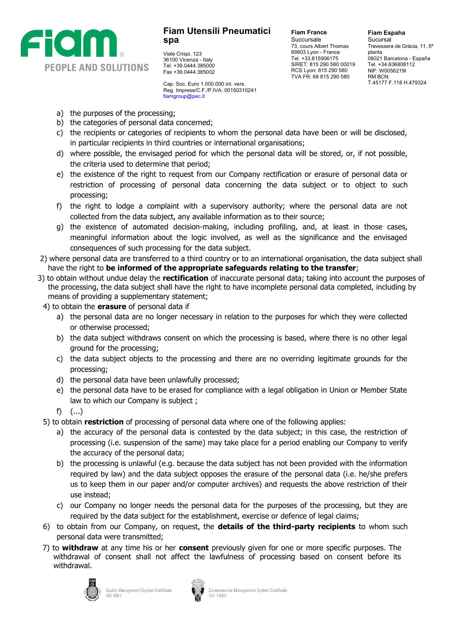

Viale Crispi, 123 36100 Vicenza - Italy Tel. +39.0444.385000 Fax +39.0444.385002

Cap. Soc. Euro 1.000.000 int. vers. Reg. Imprese/C.F./P.IVA: 00150310241 [fiamgroup@pec.it](mailto:fiamgroup@pec.it)

**Fiam France** Succursale 73, cours Albert Thomas 69803 Lyon - France Tel. +33.615906175 SIRET: 815 290 580 00019 RCS Lyon: 815 290 580 TVA FR: 68 815 290 580

**Fiam Espaha Sucursal** Travessera de Gràcia, 11, 5ª planta 08021 Barcelona - España Tel. +34.636808112 NIF: W0056219I RM BCN: T.45177 F.118 H.479324

- a) the purposes of the processing;
- b) the categories of personal data concerned;
- c) the recipients or categories of recipients to whom the personal data have been or will be disclosed, in particular recipients in third countries or international organisations;
- d) where possible, the envisaged period for which the personal data will be stored, or, if not possible, the criteria used to determine that period;
- e) the existence of the right to request from our Company rectification or erasure of personal data or restriction of processing of personal data concerning the data subject or to object to such processing;
- f) the right to lodge a complaint with a supervisory authority; where the personal data are not collected from the data subject, any available information as to their source;
- g) the existence of automated decision-making, including profiling, and, at least in those cases, meaningful information about the logic involved, as well as the significance and the envisaged consequences of such processing for the data subject.
- 2) where personal data are transferred to a third country or to an international organisation, the data subject shall have the right to **be informed of the appropriate safeguards relating to the transfer**;
- 3) to obtain without undue delay the **rectification** of inaccurate personal data; taking into account the purposes of the processing, the data subject shall have the right to have incomplete personal data completed, including by means of providing a supplementary statement;
- 4) to obtain the **erasure** of personal data if
	- a) the personal data are no longer necessary in relation to the purposes for which they were collected or otherwise processed;
	- b) the data subject withdraws consent on which the processing is based, where there is no other legal ground for the processing;
	- c) the data subject objects to the processing and there are no overriding legitimate grounds for the processing;
	- d) the personal data have been unlawfully processed;
	- e) the personal data have to be erased for compliance with a legal obligation in Union or Member State law to which our Company is subject ;
	- f) (...)
- 5) to obtain **restriction** of processing of personal data where one of the following applies:
	- a) the accuracy of the personal data is contested by the data subject; in this case, the restriction of processing (i.e. suspension of the same) may take place for a period enabling our Company to verify the accuracy of the personal data;
	- b) the processing is unlawful (e.g. because the data subject has not been provided with the information required by law) and the data subject opposes the erasure of the personal data (i.e. he/she prefers us to keep them in our paper and/or computer archives) and requests the above restriction of their use instead;
	- c) our Company no longer needs the personal data for the purposes of the processing, but they are required by the data subject for the establishment, exercise or defence of legal claims;
- 6) to obtain from our Company, on request, the **details of the third-party recipients** to whom such personal data were transmitted;
- 7) to **withdraw** at any time his or her **consent** previously given for one or more specific purposes. The withdrawal of consent shall not affect the lawfulness of processing based on consent before its withdrawal.